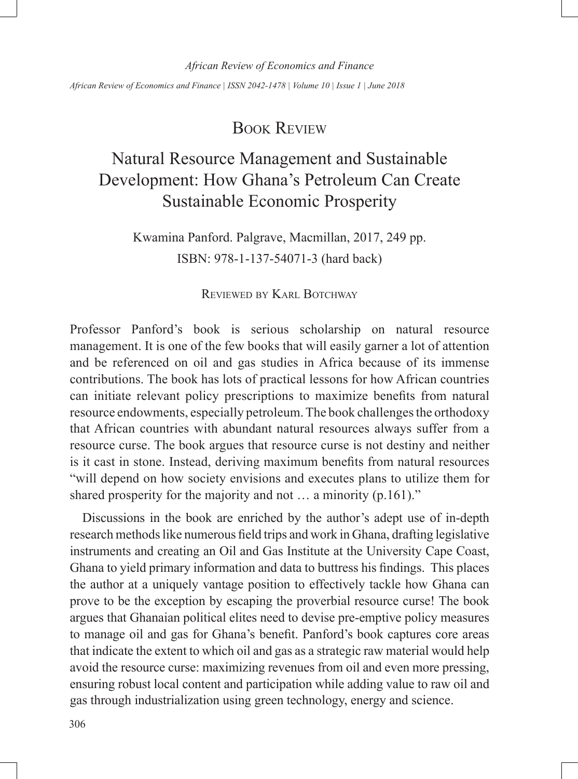*African Review of Economics and Finance*

*African Review of Economics and Finance | ISSN 2042-1478 | Volume 10 | Issue 1 | June 2018*

# Book Review

# Natural Resource Management and Sustainable Development: How Ghana's Petroleum Can Create Sustainable Economic Prosperity

Kwamina Panford. Palgrave, Macmillan, 2017, 249 pp. ISBN: 978-1-137-54071-3 (hard back)

### Reviewed by Karl Botchway

Professor Panford's book is serious scholarship on natural resource management. It is one of the few books that will easily garner a lot of attention and be referenced on oil and gas studies in Africa because of its immense contributions. The book has lots of practical lessons for how African countries can initiate relevant policy prescriptions to maximize benefits from natural resource endowments, especially petroleum. The book challenges the orthodoxy that African countries with abundant natural resources always suffer from a resource curse. The book argues that resource curse is not destiny and neither is it cast in stone. Instead, deriving maximum benefits from natural resources "will depend on how society envisions and executes plans to utilize them for shared prosperity for the majority and not ... a minority (p.161)."

Discussions in the book are enriched by the author's adept use of in-depth research methods like numerous field trips and work in Ghana, drafting legislative instruments and creating an Oil and Gas Institute at the University Cape Coast, Ghana to yield primary information and data to buttress his findings. This places the author at a uniquely vantage position to effectively tackle how Ghana can prove to be the exception by escaping the proverbial resource curse! The book argues that Ghanaian political elites need to devise pre-emptive policy measures to manage oil and gas for Ghana's benefit. Panford's book captures core areas that indicate the extent to which oil and gas as a strategic raw material would help avoid the resource curse: maximizing revenues from oil and even more pressing, ensuring robust local content and participation while adding value to raw oil and gas through industrialization using green technology, energy and science.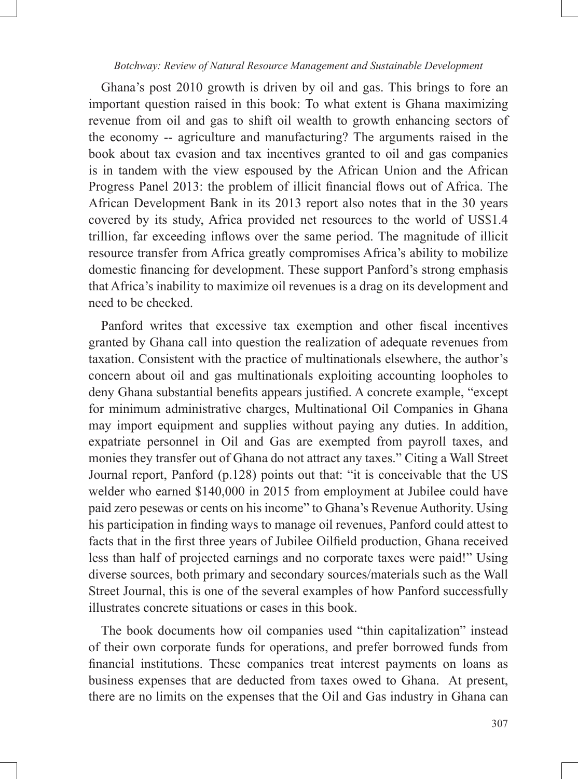#### *Botchway: Review of Natural Resource Management and Sustainable Development*

Ghana's post 2010 growth is driven by oil and gas. This brings to fore an important question raised in this book: To what extent is Ghana maximizing revenue from oil and gas to shift oil wealth to growth enhancing sectors of the economy -- agriculture and manufacturing? The arguments raised in the book about tax evasion and tax incentives granted to oil and gas companies is in tandem with the view espoused by the African Union and the African Progress Panel 2013: the problem of illicit financial flows out of Africa. The African Development Bank in its 2013 report also notes that in the 30 years covered by its study, Africa provided net resources to the world of US\$1.4 trillion, far exceeding inflows over the same period. The magnitude of illicit resource transfer from Africa greatly compromises Africa's ability to mobilize domestic financing for development. These support Panford's strong emphasis that Africa's inability to maximize oil revenues is a drag on its development and need to be checked.

Panford writes that excessive tax exemption and other fiscal incentives granted by Ghana call into question the realization of adequate revenues from taxation. Consistent with the practice of multinationals elsewhere, the author's concern about oil and gas multinationals exploiting accounting loopholes to deny Ghana substantial benefits appears justified. A concrete example, "except for minimum administrative charges, Multinational Oil Companies in Ghana may import equipment and supplies without paying any duties. In addition, expatriate personnel in Oil and Gas are exempted from payroll taxes, and monies they transfer out of Ghana do not attract any taxes." Citing a Wall Street Journal report, Panford (p.128) points out that: "it is conceivable that the US welder who earned \$140,000 in 2015 from employment at Jubilee could have paid zero pesewas or cents on his income" to Ghana's Revenue Authority. Using his participation in finding ways to manage oil revenues, Panford could attest to facts that in the first three years of Jubilee Oilfield production, Ghana received less than half of projected earnings and no corporate taxes were paid!" Using diverse sources, both primary and secondary sources/materials such as the Wall Street Journal, this is one of the several examples of how Panford successfully illustrates concrete situations or cases in this book.

The book documents how oil companies used "thin capitalization" instead of their own corporate funds for operations, and prefer borrowed funds from financial institutions. These companies treat interest payments on loans as business expenses that are deducted from taxes owed to Ghana. At present, there are no limits on the expenses that the Oil and Gas industry in Ghana can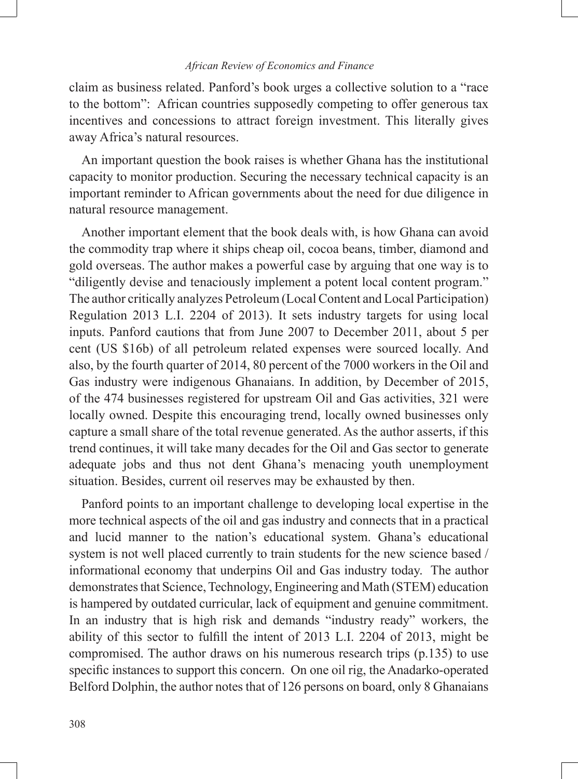#### *African Review of Economics and Finance*

claim as business related. Panford's book urges a collective solution to a "race to the bottom": African countries supposedly competing to offer generous tax incentives and concessions to attract foreign investment. This literally gives away Africa's natural resources.

An important question the book raises is whether Ghana has the institutional capacity to monitor production. Securing the necessary technical capacity is an important reminder to African governments about the need for due diligence in natural resource management.

Another important element that the book deals with, is how Ghana can avoid the commodity trap where it ships cheap oil, cocoa beans, timber, diamond and gold overseas. The author makes a powerful case by arguing that one way is to "diligently devise and tenaciously implement a potent local content program." The author critically analyzes Petroleum (Local Content and Local Participation) Regulation 2013 L.I. 2204 of 2013). It sets industry targets for using local inputs. Panford cautions that from June 2007 to December 2011, about 5 per cent (US \$16b) of all petroleum related expenses were sourced locally. And also, by the fourth quarter of 2014, 80 percent of the 7000 workers in the Oil and Gas industry were indigenous Ghanaians. In addition, by December of 2015, of the 474 businesses registered for upstream Oil and Gas activities, 321 were locally owned. Despite this encouraging trend, locally owned businesses only capture a small share of the total revenue generated. As the author asserts, if this trend continues, it will take many decades for the Oil and Gas sector to generate adequate jobs and thus not dent Ghana's menacing youth unemployment situation. Besides, current oil reserves may be exhausted by then.

Panford points to an important challenge to developing local expertise in the more technical aspects of the oil and gas industry and connects that in a practical and lucid manner to the nation's educational system. Ghana's educational system is not well placed currently to train students for the new science based / informational economy that underpins Oil and Gas industry today. The author demonstrates that Science, Technology, Engineering and Math (STEM) education is hampered by outdated curricular, lack of equipment and genuine commitment. In an industry that is high risk and demands "industry ready" workers, the ability of this sector to fulfill the intent of 2013 L.I. 2204 of 2013, might be compromised. The author draws on his numerous research trips (p.135) to use specific instances to support this concern. On one oil rig, the Anadarko-operated Belford Dolphin, the author notes that of 126 persons on board, only 8 Ghanaians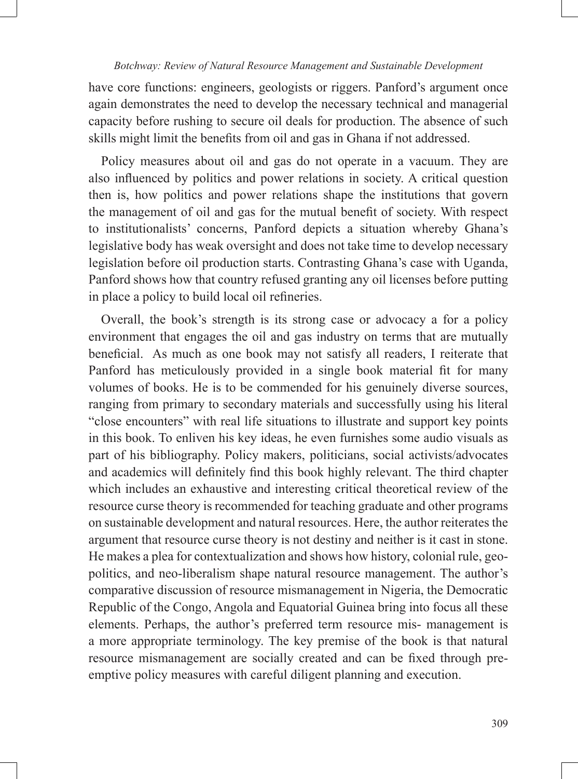#### *Botchway: Review of Natural Resource Management and Sustainable Development*

have core functions: engineers, geologists or riggers. Panford's argument once again demonstrates the need to develop the necessary technical and managerial capacity before rushing to secure oil deals for production. The absence of such skills might limit the benefits from oil and gas in Ghana if not addressed.

Policy measures about oil and gas do not operate in a vacuum. They are also influenced by politics and power relations in society. A critical question then is, how politics and power relations shape the institutions that govern the management of oil and gas for the mutual benefit of society. With respect to institutionalists' concerns, Panford depicts a situation whereby Ghana's legislative body has weak oversight and does not take time to develop necessary legislation before oil production starts. Contrasting Ghana's case with Uganda, Panford shows how that country refused granting any oil licenses before putting in place a policy to build local oil refineries.

Overall, the book's strength is its strong case or advocacy a for a policy environment that engages the oil and gas industry on terms that are mutually beneficial. As much as one book may not satisfy all readers, I reiterate that Panford has meticulously provided in a single book material fit for many volumes of books. He is to be commended for his genuinely diverse sources, ranging from primary to secondary materials and successfully using his literal "close encounters" with real life situations to illustrate and support key points in this book. To enliven his key ideas, he even furnishes some audio visuals as part of his bibliography. Policy makers, politicians, social activists/advocates and academics will definitely find this book highly relevant. The third chapter which includes an exhaustive and interesting critical theoretical review of the resource curse theory is recommended for teaching graduate and other programs on sustainable development and natural resources. Here, the author reiterates the argument that resource curse theory is not destiny and neither is it cast in stone. He makes a plea for contextualization and shows how history, colonial rule, geopolitics, and neo-liberalism shape natural resource management. The author's comparative discussion of resource mismanagement in Nigeria, the Democratic Republic of the Congo, Angola and Equatorial Guinea bring into focus all these elements. Perhaps, the author's preferred term resource mis- management is a more appropriate terminology. The key premise of the book is that natural resource mismanagement are socially created and can be fixed through preemptive policy measures with careful diligent planning and execution.